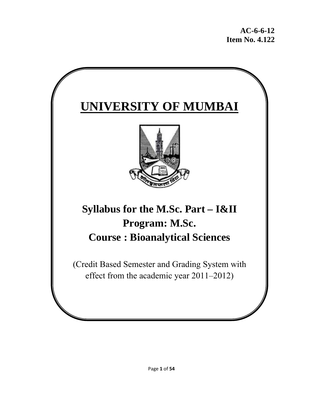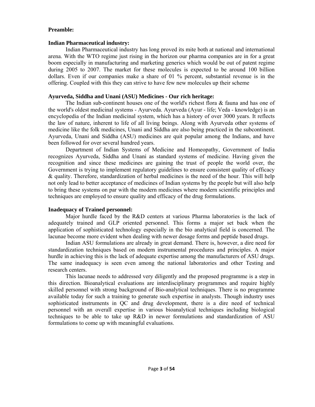#### **Preamble:**

#### **Indian Pharmaceutical industry:**

Indian Pharmaceutical industry has long proved its mite both at national and international arena. With the WTO regime just rising in the horizon our pharma companies are in for a great boom especially in manufacturing and marketing generics which would be out of patent regime during 2005 to 2007. The market for these molecules is expected to be around 100 billion dollars. Even if our companies make a share of 01 % percent, substantial revenue is in the offering. Coupled with this they can strive to have few new molecules up their scheme

## **Ayurveda, Siddha and Unani (ASU) Medicines - Our rich heritage:**

The Indian sub-continent houses one of the world's richest flora & fauna and has one of the world's oldest medicinal systems - Ayurveda. Ayurveda (Ayur - life; Veda - knowledge) is an encyclopedia of the Indian medicinal system, which has a history of over 3000 years. It reflects the law of nature, inherent to life of all living beings. Along with Ayurveda other systems of medicine like the folk medicines, Unani and Siddha are also being practiced in the subcontinent. Ayurveda, Unani and Siddha (ASU) medicines are quit popular among the Indians, and have been followed for over several hundred years.

Department of Indian Systems of Medicine and Homeopathy, Government of India recognizes Ayurveda, Siddha and Unani as standard systems of medicine. Having given the recognition and since these medicines are gaining the trust of people the world over, the Government is trying to implement regulatory guidelines to ensure consistent quality of efficacy & quality. Therefore, standardization of herbal medicines is the need of the hour. This will help not only lead to better acceptance of medicines of Indian systems by the people but will also help to bring these systems on par with the modern medicines where modern scientific principles and techniques are employed to ensure quality and efficacy of the drug formulations.

## **Inadequacy of Trained personnel:**

Major hurdle faced by the R&D centers at various Pharma laboratories is the lack of adequately trained and GLP oriented personnel. This forms a major set back when the application of sophisticated technology especially in the bio analytical field is concerned. The lacunae become more evident when dealing with newer dosage forms and peptide based drugs.

Indian ASU formulations are already in great demand. There is, however, a dire need for standardization techniques based on modern instrumental procedures and principles. A major hurdle in achieving this is the lack of adequate expertise among the manufacturers of ASU drugs. The same inadequacy is seen even among the national laboratories and other Testing and research centers.

This lacunae needs to addressed very diligently and the proposed programme is a step in this direction. Bioanalytical evaluations are interdisciplinary programmes and require highly skilled personnel with strong background of Bio-analytical techniques. There is no programme available today for such a training to generate such expertise in analysts. Though industry uses sophisticated instruments in QC and drug development, there is a dire need of technical personnel with an overall expertise in various bioanalytical techniques including biological techniques to be able to take up R&D in newer formulations and standardization of ASU formulations to come up with meaningful evaluations.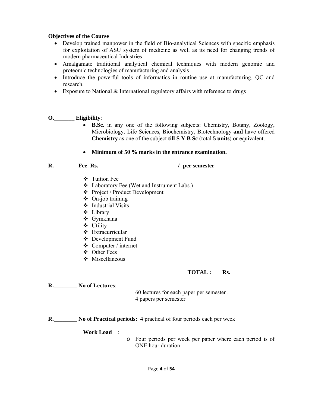## **Objectives of the Course**

- Develop trained manpower in the field of Bio-analytical Sciences with specific emphasis for exploitation of ASU system of medicine as well as its need for changing trends of modern pharmaceutical Industries
- Amalgamate traditional analytical chemical techniques with modern genomic and proteomic technologies of manufacturing and analysis
- Introduce the powerful tools of informatics in routine use at manufacturing, QC and research.
- Exposure to National & International regulatory affairs with reference to drugs

## **O.\_\_\_\_\_\_\_ Eligibility**:

- **B.Sc.** in any one of the following subjects: Chemistry, Botany, Zoology, Microbiology, Life Sciences, Biochemistry, Biotechnology **and** have offered **Chemistry** as one of the subject **till S Y B Sc** (total **5 units**) or equivalent.
- **Minimum of 50 % marks in the entrance examination.**

**R.\_\_\_\_\_\_\_\_ Fee**: **Rs. /- per semester**

- Tuition Fee
- Laboratory Fee (Wet and Instrument Labs.)
- Project / Product Development
- $\triangleleft$  On-job training
- $\div$  Industrial Visits
- Library
- Gymkhana
- Utility
- **❖** Extracurricular
- Development Fund
- Computer / internet
- Other Fees
- ◆ Miscellaneous

## **TOTAL : Rs.**

**R.\_\_\_\_\_\_\_\_ No of Lectures**:

 60 lectures for each paper per semester . 4 papers per semester

**R.\_\_\_\_\_\_\_\_ No of Practical periods:** 4 practical of four periods each per week

**Work Load** :

o Four periods per week per paper where each period is of ONE hour duration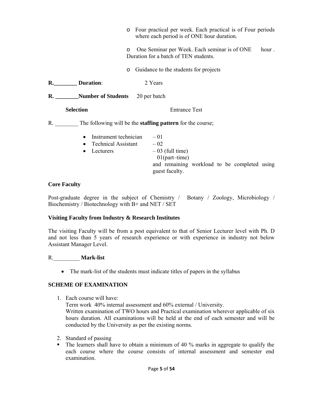| $\circ$                                                                | Four practical per week. Each practical is of Four periods<br>where each period is of ONE hour duration.         |  |  |  |  |
|------------------------------------------------------------------------|------------------------------------------------------------------------------------------------------------------|--|--|--|--|
| $\circ$                                                                | One Seminar per Week. Each seminar is of ONE<br>hour.<br>Duration for a batch of TEN students.                   |  |  |  |  |
| $\circ$                                                                | Guidance to the students for projects                                                                            |  |  |  |  |
| R. Duration:                                                           | 2 Years                                                                                                          |  |  |  |  |
| R. Number of Students 20 per batch                                     |                                                                                                                  |  |  |  |  |
| <b>Selection</b>                                                       | <b>Entrance Test</b>                                                                                             |  |  |  |  |
| $R_{\rm m}$                                                            | The following will be the <b>staffing pattern</b> for the course;                                                |  |  |  |  |
| Instrument technician $-01$<br><b>Technical Assistant</b><br>Lecturers | $-02$<br>$-03$ (full time)<br>$01$ (part-time)<br>and remaining workload to be completed using<br>guest faculty. |  |  |  |  |

## **Core Faculty**

Post-graduate degree in the subject of Chemistry / Botany / Zoology, Microbiology / Biochemistry / Biotechnology with B+ and NET / SET

## **Visiting Faculty from Industry & Research Institutes**

The visiting Faculty will be from a post equivalent to that of Senior Lecturer level with Ph. D and not less than 5 years of research experience or with experience in industry not below Assistant Manager Level.

## R.\_\_\_\_\_\_\_\_\_ **Mark-list**

• The mark-list of the students must indicate titles of papers in the syllabus

## **SCHEME OF EXAMINATION**

1. Each course will have:

Term work 40% internal assessment and 60% external / University. Written examination of TWO hours and Practical examination wherever applicable of six hours duration. All examinations will be held at the end of each semester and will be conducted by the University as per the existing norms.

- 2. Standard of passing
- The learners shall have to obtain a minimum of 40 % marks in aggregate to qualify the each course where the course consists of internal assessment and semester end examination.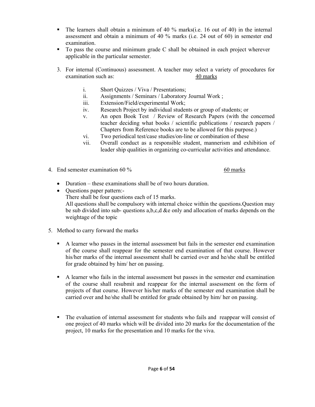- $\blacksquare$  The learners shall obtain a minimum of 40 % marks(i.e. 16 out of 40) in the internal assessment and obtain a minimum of 40 % marks (i.e. 24 out of 60) in semester end examination.
- To pass the course and minimum grade C shall be obtained in each project wherever applicable in the particular semester.
- 3. For internal (Continuous) assessment. A teacher may select a variety of procedures for examination such as: 40 marks
	- i. Short Quizzes / Viva / Presentations;
	- ii. Assignments / Seminars / Laboratory Journal Work ;
	- iii. Extension/Field/experimental Work;
	- iv. Research Project by individual students or group of students; or
	- v. An open Book Test / Review of Research Papers (with the concerned teacher deciding what books / scientific publications / research papers / Chapters from Reference books are to be allowed for this purpose.)
	- vi. Two periodical test/case studies/on-line or combination of these
	- vii. Overall conduct as a responsible student, mannerism and exhibition of leader ship qualities in organizing co-curricular activities and attendance.
- 4. End semester examination 60 % 60 marks

- Duration these examinations shall be of two hours duration.
- Ouestions paper pattern:-There shall be four questions each of 15 marks. All questions shall be compulsory with internal choice within the questions.Question may be sub divided into sub- questions a,b,c,d &e only and allocation of marks depends on the weightage of the topic
- 5. Method to carry forward the marks
	- A learner who passes in the internal assessment but fails in the semester end examination of the course shall reappear for the semester end examination of that course. However his/her marks of the internal assessment shall be carried over and he/she shall be entitled for grade obtained by him/ her on passing.
	- A learner who fails in the internal assessment but passes in the semester end examination of the course shall resubmit and reappear for the internal assessment on the form of projects of that course. However his/her marks of the semester end examination shall be carried over and he/she shall be entitled for grade obtained by him/ her on passing.
	- The evaluation of internal assessment for students who fails and reappear will consist of one project of 40 marks which will be divided into 20 marks for the documentation of the project, 10 marks for the presentation and 10 marks for the viva.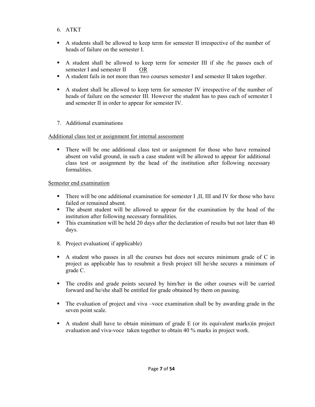- 6. ATKT
- A students shall be allowed to keep term for semester II irrespective of the number of heads of failure on the semester I.
- A student shall be allowed to keep term for semester III if she /he passes each of semester I and semester II OR
- A student fails in not more than two courses semester I and semester II taken together.
- A student shall be allowed to keep term for semester IV irrespective of the number of heads of failure on the semester III. However the student has to pass each of semester I and semester II in order to appear for semester IV.
- 7. Additional examinations

## Additional class test or assignment for internal assessment

 There will be one additional class test or assignment for those who have remained absent on valid ground, in such a case student will be allowed to appear for additional class test or assignment by the head of the institution after following necessary formalities.

## Semester end examination

- There will be one additional examination for semester I ,II, III and IV for those who have failed or remained absent.
- The absent student will be allowed to appear for the examination by the head of the institution after following necessary formalities.
- This examination will be held 20 days after the declaration of results but not later than 40 days.
- 8. Project evaluation( if applicable)
- A student who passes in all the courses but does not secures minimum grade of C in project as applicable has to resubmit a fresh project till he/she secures a minimum of grade C.
- The credits and grade points secured by him/her in the other courses will be carried forward and he/she shall be entitled for grade obtained by them on passing.
- The evaluation of project and viva –voce examination shall be by awarding grade in the seven point scale.
- $\blacksquare$  A student shall have to obtain minimum of grade E (or its equivalent marks)in project evaluation and viva-voce taken together to obtain 40 % marks in project work.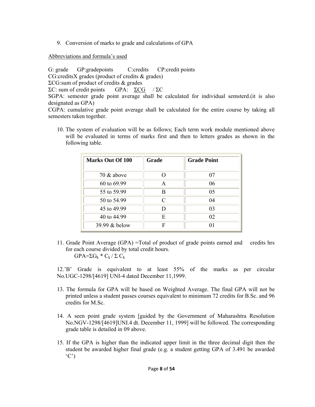9. Conversion of marks to grade and calculations of GPA

Abbreviations and formula's used

G: grade GP: gradepoints C: credits CP: credit points CG:creditsX grades (product of credits & grades) ΣCG:sum of product of credits & grades ΣC: sum of credit points GPA:  $\Sigma \text{CG}$  / ΣC SGPA: semester grade point average shall be calculated for individual semsterd.(it is also designated as GPA)

CGPA: cumulative grade point average shall be calculated for the entire course by taking all semesters taken together.

10. The system of evaluation will be as follows; Each term work module mentioned above will be evaluated in terms of marks first and then to letters grades as shown in the following table.

| <b>Marks Out Of 100</b> | <b>Grade</b> | <b>Grade Point</b> |
|-------------------------|--------------|--------------------|
| 70 $&$ above            |              | 07                 |
| 60 to 69.99             | A            | 06                 |
| 55 to 59.99             | B            | 05                 |
| 50 to 54.99             | $\subset$    | 04                 |
| 45 to 49.99             | D            | 0 <sup>3</sup>     |
| 40 to 44.99             | E            | 02                 |
| 39.99 & below           | F            | 01                 |

11. Grade Point Average (GPA) =Total of product of grade points earned and credits hrs for each course divided by total credit hours.  $GPA=\Sigma G_k * C_k / \Sigma C_k$ 

12.'B' Grade is equivalent to at least 55% of the marks as per circular No.UGC-1298/[4619] UNI-4 dated December 11,1999.

- 13. The formula for GPA will be based on Weighted Average. The final GPA will not be printed unless a student passes courses equivalent to minimum 72 credits for B.Sc. and 96 credits for M.Sc.
- 14. A seen point grade system [guided by the Government of Maharashtra Resolution No.NGV-1298/[4619]UNI.4 dt. December 11, 1999] will be followed. The corresponding grade table is detailed in 09 above.
- 15. If the GPA is higher than the indicated upper limit in the three decimal digit then the student be awarded higher final grade (e.g. a student getting GPA of 3.491 be awarded  $(C')$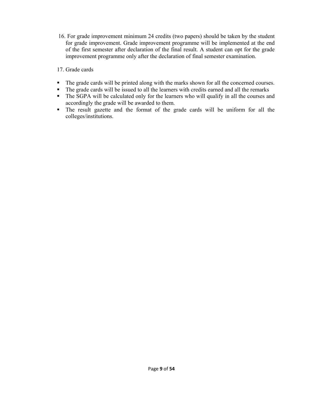16. For grade improvement minimum 24 credits (two papers) should be taken by the student for grade improvement. Grade improvement programme will be implemented at the end of the first semester after declaration of the final result. A student can opt for the grade improvement programme only after the declaration of final semester examination.

17. Grade cards

- The grade cards will be printed along with the marks shown for all the concerned courses.
- The grade cards will be issued to all the learners with credits earned and all the remarks
- The SGPA will be calculated only for the learners who will qualify in all the courses and accordingly the grade will be awarded to them.
- The result gazette and the format of the grade cards will be uniform for all the colleges/institutions.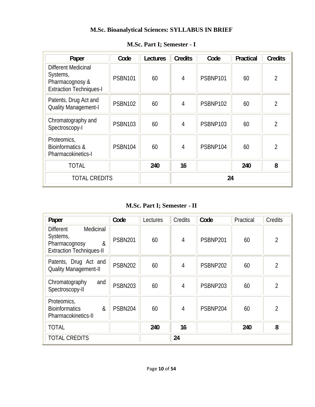# **M.Sc. Bioanalytical Sciences: SYLLABUS IN BRIEF**

| Paper                                                                                       | Code           | Lectures | <b>Credits</b> | Code     | Practical | <b>Credits</b> |
|---------------------------------------------------------------------------------------------|----------------|----------|----------------|----------|-----------|----------------|
| <b>Different Medicinal</b><br>Systems,<br>Pharmacognosy &<br><b>Extraction Techniques-I</b> | <b>PSBN101</b> | 60       | $\overline{4}$ | PSBNP101 | 60        | $\overline{2}$ |
| Patents, Drug Act and<br><b>Quality Management-I</b>                                        | <b>PSBN102</b> | 60       | $\overline{4}$ | PSBNP102 | 60        | $\overline{2}$ |
| Chromatography and<br>Spectroscopy-I                                                        | <b>PSBN103</b> | 60       | $\overline{4}$ | PSBNP103 | 60        | $\overline{2}$ |
| Proteomics,<br><b>Bioinformatics &amp;</b><br>Pharmacokinetics-I                            | PSBN104        | 60       | $\overline{4}$ | PSBNP104 | 60        | $\overline{2}$ |
| <b>TOTAL</b>                                                                                |                | 240      | 16             |          | 240       | 8              |
| <b>TOTAL CREDITS</b>                                                                        |                |          | 24             |          |           |                |

# **M.Sc. Part I; Semester - I**

**M.Sc. Part I; Semester - II** 

| Paper                                                                                              | Code           | Lectures | Credits        | Code     | Practical | Credits        |
|----------------------------------------------------------------------------------------------------|----------------|----------|----------------|----------|-----------|----------------|
| Medicinal<br><b>Different</b><br>Systems,<br>&<br>Pharmacognosy<br><b>Extraction Techniques-II</b> | <b>PSBN201</b> | 60       | $\overline{4}$ | PSBNP201 | 60        | $\overline{2}$ |
| Patents, Drug Act and<br><b>Quality Management-II</b>                                              | <b>PSBN202</b> | 60       | 4              | PSBNP202 | 60        | $\overline{2}$ |
| Chromatography<br>and<br>Spectroscopy-II                                                           | <b>PSBN203</b> | 60       | 4              | PSBNP203 | 60        | $\overline{2}$ |
| Proteomics,<br><b>Bioinformatics</b><br>&<br>Pharmacokinetics-II                                   | <b>PSBN204</b> | 60       | 4              | PSBNP204 | 60        | $\overline{2}$ |
| <b>TOTAL</b>                                                                                       |                | 240      | 16             |          | 240       | 8              |
| <b>TOTAL CREDITS</b>                                                                               |                |          | 24             |          |           |                |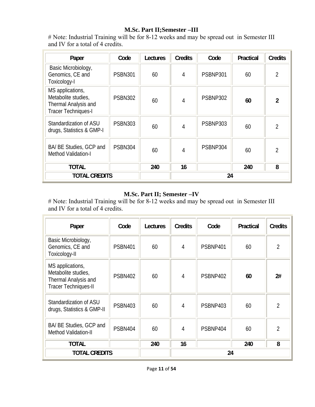# **M.Sc. Part II;Semester –III**

# Note: Industrial Training will be for 8-12 weeks and may be spread out in Semester III and IV for a total of 4 credits.

| Paper                                                                                         | Code           | Lectures | <b>Credits</b> | Code     | Practical | <b>Credits</b> |
|-----------------------------------------------------------------------------------------------|----------------|----------|----------------|----------|-----------|----------------|
| Basic Microbiology,<br>Genomics, CE and<br>Toxicology-I                                       | <b>PSBN301</b> | 60       | $\overline{4}$ | PSBNP301 | 60        | $\overline{2}$ |
| MS applications,<br>Metabolite studies,<br>Thermal Analysis and<br><b>Tracer Techniques-I</b> | <b>PSBN302</b> | 60       | $\overline{4}$ | PSBNP302 | 60        | $\overline{2}$ |
| Standardization of ASU<br>drugs, Statistics & GMP-I                                           | <b>PSBN303</b> | 60       | 4              | PSBNP303 | 60        | $\overline{2}$ |
| BA/ BE Studies, GCP and<br>Method Validation-I                                                | <b>PSBN304</b> | 60       | $\overline{4}$ | PSBNP304 | 60        | $\overline{2}$ |
| <b>TOTAL</b>                                                                                  |                | 240      | 16             |          | 240       | 8              |
| <b>TOTAL CREDITS</b>                                                                          |                |          |                | 24       |           |                |

# **M.Sc. Part II; Semester –IV**

# Note: Industrial Training will be for 8-12 weeks and may be spread out in Semester III and IV for a total of 4 credits.

| Paper                                                                                          | Code           | Lectures | <b>Credits</b> | Code     | Practical | <b>Credits</b> |
|------------------------------------------------------------------------------------------------|----------------|----------|----------------|----------|-----------|----------------|
| Basic Microbiology,<br>Genomics, CE and<br>Toxicology-II                                       | <b>PSBN401</b> | 60       | 4              | PSBNP401 | 60        | 2              |
| MS applications,<br>Metabolite studies,<br>Thermal Analysis and<br><b>Tracer Techniques-II</b> | <b>PSBN402</b> | 60       | $\overline{4}$ | PSBNP402 | 60        | 2#             |
| Standardization of ASU<br>drugs, Statistics & GMP-II                                           | <b>PSBN403</b> | 60       | $\overline{4}$ | PSBNP403 | 60        | 2              |
| BA/ BE Studies, GCP and<br><b>Method Validation-II</b>                                         | PSBN404        | 60       | 4              | PSBNP404 | 60        | 2              |
| <b>TOTAL</b>                                                                                   |                | 240      | 16             |          | 240       | 8              |
| <b>TOTAL CREDITS</b>                                                                           |                |          | 24             |          |           |                |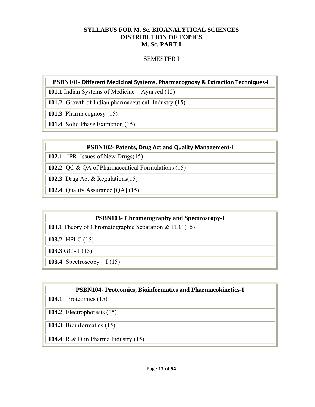## **SYLLABUS FOR M. Sc. BIOANALYTICAL SCIENCES DISTRIBUTION OF TOPICS M. Sc. PART I**

# SEMESTER I

# **PSBN101- Different Medicinal Systems, Pharmacognosy & Extraction Techniques‐I**

**101.1** Indian Systems of Medicine – Ayurved (15)

**101.2** Growth of Indian pharmaceutical Industry (15)

**101.3** Pharmacognosy (15)

**101.4** Solid Phase Extraction (15)

## **PSBN102- Patents, Drug Act and Quality Management‐I**

**102.1** IPR Issues of New Drugs(15)

**102.2** QC & QA of Pharmaceutical Formulations (15)

**102.3** Drug Act & Regulations(15)

**102.4** Quality Assurance [QA] (15)

## **PSBN103- Chromatography and Spectroscopy-I**

**103.1** Theory of Chromatographic Separation & TLC (15)

**103.2** HPLC (15)

**103.3** GC - I (15)

**103.4** Spectroscopy – I (15)

# **PSBN104- Proteomics, Bioinformatics and Pharmacokinetics-I**

**104.1** Proteomics (15)

**104.2** Electrophoresis (15)

**104.3** Bioinformatics (15)

**104.4** R & D in Pharma Industry (15)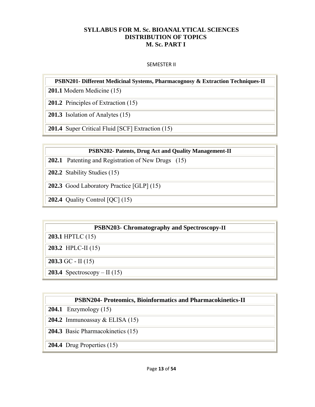## **SYLLABUS FOR M. Sc. BIOANALYTICAL SCIENCES DISTRIBUTION OF TOPICS M. Sc. PART I**

## SEMESTER II

## **PSBN201- Different Medicinal Systems, Pharmacognosy & Extraction Techniques-II**

**201.1** Modern Medicine (15)

**201.2** Principles of Extraction (15)

**201.3** Isolation of Analytes (15)

**201.4** Super Critical Fluid [SCF] Extraction (15)

## **PSBN202- Patents, Drug Act and Quality Management-II**

- **202.1** Patenting and Registration of New Drugs (15)
- **202.2** Stability Studies (15)
- **202.3** Good Laboratory Practice [GLP] (15)
- **202.4** Quality Control [QC] (15)

## **PSBN203- Chromatography and Spectroscopy-II**

**203.1** HPTLC (15)

**203.2** HPLC-II (15)

**203.3** GC - II (15)

**203.4** Spectroscopy – II (15)

# **PSBN204- Proteomics, Bioinformatics and Pharmacokinetics-II**

**204.1** Enzymology (15)

**204.2** Immunoassay & ELISA (15)

**204.3** Basic Pharmacokinetics (15)

**204.4** Drug Properties (15)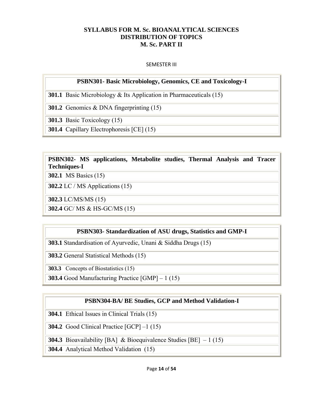# **SYLLABUS FOR M. Sc. BIOANALYTICAL SCIENCES DISTRIBUTION OF TOPICS M. Sc. PART II**

## SEMESTER III

# **PSBN301- Basic Microbiology, Genomics, CE and Toxicology-I**

**301.1** Basic Microbiology & Its Application in Pharmaceuticals (15)

**301.2** Genomics & DNA fingerprinting (15)

**301.3** Basic Toxicology (15)

**301.4** Capillary Electrophoresis [CE] (15)

# **PSBN302- MS applications, Metabolite studies, Thermal Analysis and Tracer Techniques-I**

**302.1** MS Basics (15)

**302.2** LC / MS Applications (15)

**302.3** LC/MS/MS (15)

**302.4** GC/ MS & HS-GC/MS (15)

# **PSBN303- Standardization of ASU drugs, Statistics and GMP-I**

**303.1** Standardisation of Ayurvedic, Unani & Siddha Drugs (15)

**303.2** General Statistical Methods (15)

**303.3** Concepts of Biostatistics (15)

**303.4** Good Manufacturing Practice [GMP] – 1 (15)

# **PSBN304-BA/ BE Studies, GCP and Method Validation-I**

**304.1** Ethical Issues in Clinical Trials (15)

**304.2** Good Clinical Practice [GCP] –1 (15)

**304.3** Bioavailability [BA] & Bioequivalence Studies [BE]  $-1$  (15)

**304.4** Analytical Method Validation (15)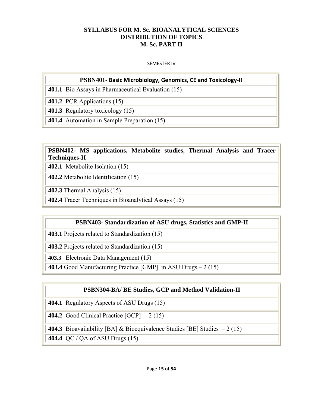# **SYLLABUS FOR M. Sc. BIOANALYTICAL SCIENCES DISTRIBUTION OF TOPICS M. Sc. PART II**

#### SEMESTER IV

## **PSBN401- Basic Microbiology, Genomics, CE and Toxicology‐II**

**401.1** Bio Assays in Pharmaceutical Evaluation (15)

**401.2** PCR Applications (15)

**401.3** Regulatory toxicology (15)

**401.4** Automation in Sample Preparation (15)

# **PSBN402- MS applications, Metabolite studies, Thermal Analysis and Tracer Techniques-II**

**402.1** Metabolite Isolation (15)

**402.2** Metabolite Identification (15)

**402.3** Thermal Analysis (15)

**402.4** Tracer Techniques in Bioanalytical Assays (15)

## **PSBN403- Standardization of ASU drugs, Statistics and GMP-II**

**403.1** Projects related to Standardization (15)

**403.2** Projects related to Standardization (15)

**403.3** Electronic Data Management (15)

**403.4** Good Manufacturing Practice [GMP] in ASU Drugs – 2 (15)

## **PSBN304-BA/ BE Studies, GCP and Method Validation-II**

**404.1** Regulatory Aspects of ASU Drugs (15)

**404.2** Good Clinical Practice  $[GCP] - 2(15)$ 

**404.3** Bioavailability [BA] & Bioequivalence Studies [BE] Studies  $-2(15)$ 

**404.4** QC / QA of ASU Drugs (15)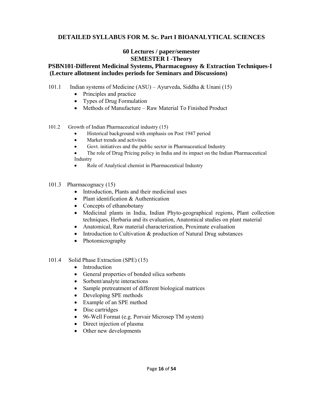# **DETAILED SYLLABUS FOR M. Sc. Part I BIOANALYTICAL SCIENCES**

## **60 Lectures / paper/semester SEMESTER I -Theory**

# **PSBN101-Different Medicinal Systems, Pharmacognosy & Extraction Techniques-I (Lecture allotment includes periods for Seminars and Discussions)**

- 101.1 Indian systems of Medicine (ASU) Ayurveda, Siddha & Unani (15)
	- Principles and practice
	- Types of Drug Formulation
	- Methods of Manufacture Raw Material To Finished Product
- 101.2 Growth of Indian Pharmaceutical industry (15)
	- Historical background with emphasis on Post 1947 period
	- Market trends and activities
	- Govt. initiatives and the public sector in Pharmaceutical Industry
	- The role of Drug Pricing policy in India and its impact on the Indian Pharmaceutical Industry
	- Role of Analytical chemist in Pharmaceutical Industry
- 101.3 Pharmacognacy (15)
	- Introduction, Plants and their medicinal uses
	- Plant identification & Authentication
	- Concepts of ethanobotany
	- Medicinal plants in India, Indian Phyto-geographical regions, Plant collection techniques, Herbaria and its evaluation, Anatomical studies on plant material
	- Anatomical, Raw material characterization, Proximate evaluation
	- Introduction to Cultivation & production of Natural Drug substances
	- Photomicrography
- 101.4 Solid Phase Extraction (SPE) (15)
	- Introduction
	- General properties of bonded silica sorbents
	- Sorbent/analyte interactions
	- Sample pretreatment of different biological matrices
	- Developing SPE methods
	- Example of an SPE method
	- Disc cartridges
	- 96-Well Format (e.g. Porvair Microsep TM system)
	- Direct injection of plasma
	- Other new developments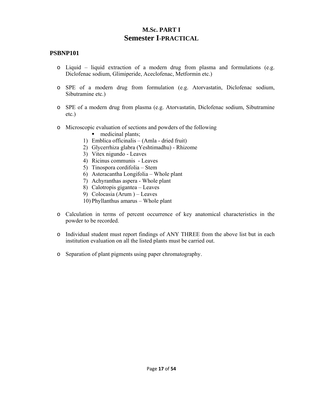# **M.Sc. PART I Semester I-PRACTICAL**

- o Liquid liquid extraction of a modern drug from plasma and formulations (e.g. Diclofenac sodium, Glimiperide, Aceclofenac, Metformin etc.)
- o SPE of a modern drug from formulation (e.g. Atorvastatin, Diclofenac sodium, Sibutramine etc.)
- o SPE of a modern drug from plasma (e.g. Atorvastatin, Diclofenac sodium, Sibutramine etc.)
- o Microscopic evaluation of sections and powders of the following
	- medicinal plants:
	- 1) Emblica officinalis (Amla dried fruit)
	- 2) Glycerrhiza glabra (Yeshtimadhu) Rhizome
	- 3) Vitex nigundo Leaves
	- 4) Ricinus communis Leaves
	- 5) Tinospora cordifolia Stem
	- 6) Asteracantha Longifolia Whole plant
	- 7) Achyranthas aspera Whole plant
	- 8) Calotropis gigantea Leaves
	- 9) Colocasia (Arum ) Leaves
	- 10) Phyllanthus amarus Whole plant
- o Calculation in terms of percent occurrence of key anatomical characteristics in the powder to be recorded.
- o Individual student must report findings of ANY THREE from the above list but in each institution evaluation on all the listed plants must be carried out.
- o Separation of plant pigments using paper chromatography.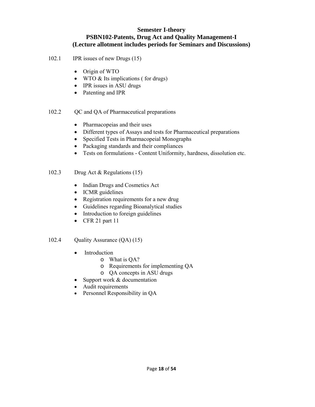## **Semester I-theory PSBN102-Patents, Drug Act and Quality Management-I (Lecture allotment includes periods for Seminars and Discussions)**

- 102.1 IPR issues of new Drugs (15)
	- Origin of WTO
	- WTO & Its implications (for drugs)
	- IPR issues in ASU drugs
	- Patenting and IPR
- 102.2 QC and QA of Pharmaceutical preparations
	- Pharmacopeias and their uses
	- Different types of Assays and tests for Pharmaceutical preparations
	- Specified Tests in Pharmacopeial Monographs
	- Packaging standards and their compliances
	- Tests on formulations Content Uniformity, hardness, dissolution etc.
- 102.3 Drug Act & Regulations (15)
	- Indian Drugs and Cosmetics Act
	- ICMR guidelines
	- Registration requirements for a new drug
	- Guidelines regarding Bioanalytical studies
	- Introduction to foreign guidelines
	- CFR 21 part 11

## 102.4 Quality Assurance (QA) (15)

- Introduction
	- o What is QA?
	- o Requirements for implementing QA
	- o QA concepts in ASU drugs
- Support work & documentation
- Audit requirements
- Personnel Responsibility in QA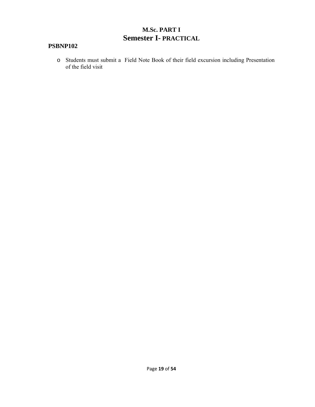# **M.Sc. PART I Semester I- PRACTICAL**

# **PSBNP102**

o Students must submit a Field Note Book of their field excursion including Presentation of the field visit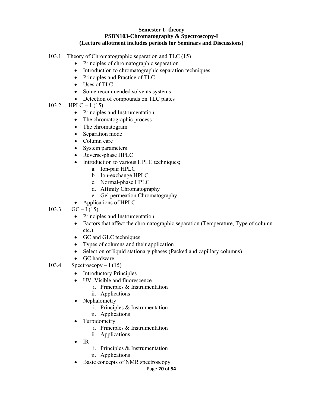#### **Semester I- theory PSBN103-Chromatography & Spectroscopy-I (Lecture allotment includes periods for Seminars and Discussions)**

- 103.1 Theory of Chromatographic separation and TLC (15)
	- Principles of chromatographic separation
	- Introduction to chromatographic separation techniques
	- Principles and Practice of TLC
	- Uses of TLC
	- Some recommended solvents systems
	- Detection of compounds on TLC plates
- 103.2 HPLC 1 (15)
	- Principles and Instrumentation
	- The chromatographic process
	- The chromatogram
	- Separation mode
	- Column care
	- System parameters
	- Reverse-phase HPLC
	- Introduction to various HPLC techniques;
		- a. Ion-pair HPLC
		- b. Ion-exchange HPLC
		- c. Normal-phase HPLC
		- d. Affinity Chromatography
		- e. Gel permeation Chromatography
	- Applications of HPLC
- 103.3  $GC-I(15)$ 
	- Principles and Instrumentation
	- Factors that affect the chromatographic separation (Temperature, Type of column etc.)
	- GC and GLC techniques
	- Types of columns and their application
	- Selection of liquid stationary phases (Packed and capillary columns)
	- GC hardware
- 103.4 Spectroscopy I (15)
	- Introductory Principles
	- UV ,Visible and fluorescence
		- i. Principles & Instrumentation
		- ii. Applications
	- Nephalometry
		- i. Principles & Instrumentation
		- ii. Applications
	- Turbidometry
		- i. Principles & Instrumentation
		- ii. Applications
	- IR
		- i. Principles & Instrumentation
		- ii. Applications
	- Basic concepts of NMR spectroscopy

Page **20** of **54**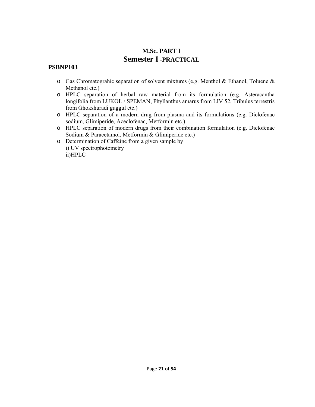# **M.Sc. PART I Semester I -PRACTICAL**

- o Gas Chromatograhic separation of solvent mixtures (e.g. Menthol & Ethanol, Toluene & Methanol etc.)
- o HPLC separation of herbal raw material from its formulation (e.g. Asteracantha longifolia from LUKOL / SPEMAN, Phyllanthus amarus from LIV 52, Tribulus terrestris from Ghokshuradi guggul etc.)
- o HPLC separation of a modern drug from plasma and its formulations (e.g. Diclofenac sodium, Glimiperide, Aceclofenac, Metformin etc.)
- o HPLC separation of modern drugs from their combination formulation (e.g. Diclofenac Sodium & Paracetamol, Metformin & Glimiperide etc.)
- o Determination of Caffeine from a given sample by i) UV spectrophotometry ii)HPLC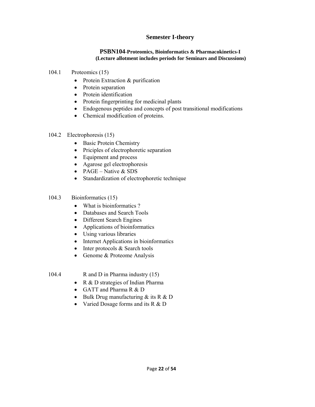# **Semester I-theory**

#### **PSBN104**-**Proteomics, Bioinformatics & Pharmacokinetics-I (Lecture allotment includes periods for Seminars and Discussions)**

- 104.1 Proteomics (15)
	- Protein Extraction & purification
	- Protein separation
	- Protein identification
	- Protein fingerprinting for medicinal plants
	- Endogenous peptides and concepts of post transitional modifications
	- Chemical modification of proteins.
- 104.2 Electrophoresis (15)
	- Basic Protein Chemistry
	- Priciples of electrophoretic separation
	- Equipment and process
	- Agarose gel electrophoresis
	- PAGE Native  $&$  SDS
	- Standardization of electrophoretic technique

## 104.3 Bioinformatics (15)

- What is bioinformatics?
- Databases and Search Tools
- Different Search Engines
- Applications of bioinformatics
- Using various libraries
- Internet Applications in bioinformatics
- Inter protocols & Search tools
- Genome & Proteome Analysis

104.4 R and D in Pharma industry (15)

- R & D strategies of Indian Pharma
- GATT and Pharma R & D
- Bulk Drug manufacturing  $&$  its R  $&$  D
- Varied Dosage forms and its R & D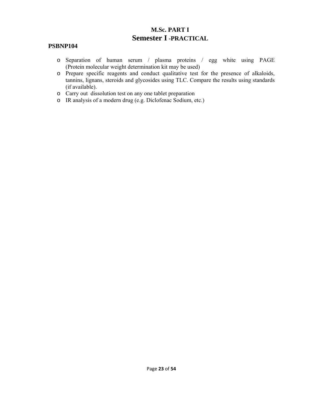# **M.Sc. PART I Semester I -PRACTICAL**

- o Separation of human serum / plasma proteins / egg white using PAGE (Protein molecular weight determination kit may be used)
- o Prepare specific reagents and conduct qualitative test for the presence of alkaloids, tannins, lignans, steroids and glycosides using TLC. Compare the results using standards (if available).
- o Carry out dissolution test on any one tablet preparation
- o IR analysis of a modern drug (e.g. Diclofenac Sodium, etc.)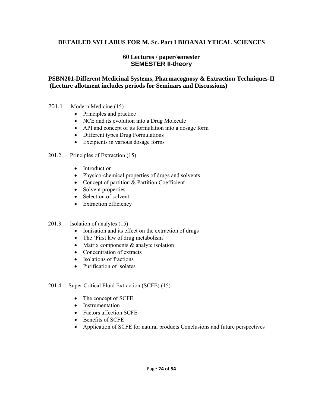# **DETAILED SYLLABUS FOR M. Sc. Part I BIOANALYTICAL SCIENCES**

# **60 Lectures / paper/semester SEMESTER II-theory**

# **PSBN201-Different Medicinal Systems, Pharmacognosy & Extraction Techniques-II (Lecture allotment includes periods for Seminars and Discussions)**

- 201.1 Modern Medicine (15)
	- Principles and practice
	- NCE and its evolution into a Drug Molecule
	- API and concept of its formulation into a dosage form
	- Different types Drug Formulations
	- Excipients in various dosage forms
- 201.2 Principles of Extraction (15)
	- Introduction
	- Physico-chemical properties of drugs and solvents
	- Concept of partition & Partition Coefficient
	- Solvent properties
	- Selection of solvent
	- Extraction efficiency
- 201.3 Isolation of analytes (15)
	- Ionisation and its effect on the extraction of drugs
	- The 'First law of drug metabolism'
	- Matrix components & analyte isolation
	- Concentration of extracts
	- Isolations of fractions
	- Purification of isolates
- 201.4 Super Critical Fluid Extraction (SCFE) (15)
	- The concept of SCFE
	- Instrumentation
	- Factors affection SCFE
	- Benefits of SCFE
	- Application of SCFE for natural products Conclusions and future perspectives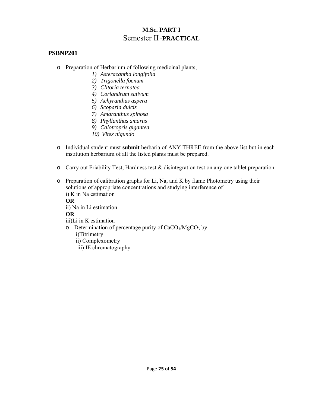# **M.Sc. PART I**  Semester II **-PRACTICAL**

## **PSBNP201**

- o Preparation of Herbarium of following medicinal plants;
	- *1) Asteracantha longifolia*
	- *2) Trigonella foenum*
	- *3) Clitoria ternatea*
	- *4) Coriandrum sativum*
	- *5) Achyranthus aspera*
	- *6) Scoparia dulcis*
	- *7) Amaranthus spinosa*
	- *8) Phyllanthus amarus*
	- *9) Calotropris gigantea*
	- *10) Vitex nigundo*
- o Individual student must **submit** herbaria of ANY THREE from the above list but in each institution herbarium of all the listed plants must be prepared.
- o Carry out Friability Test, Hardness test & disintegration test on any one tablet preparation
- o Preparation of calibration graphs for Li, Na, and K by flame Photometry using their solutions of appropriate concentrations and studying interference of i) K in Na estimation **OR** ii) Na in Li estimation **OR**

iii)Li in K estimation

- o Determination of percentage purity of  $CaCO<sub>3</sub>/MgCO<sub>3</sub>$  by i)Titrimetry
	- ii) Complexometry
	- iii) IE chromatography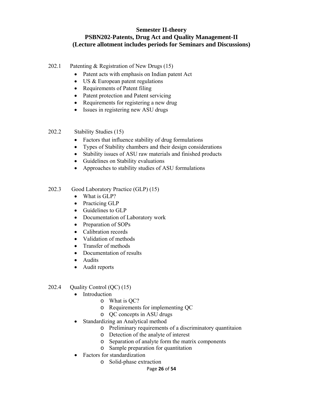# **Semester II-theory PSBN202-Patents, Drug Act and Quality Management-II (Lecture allotment includes periods for Seminars and Discussions)**

- 202.1 Patenting & Registration of New Drugs (15)
	- Patent acts with emphasis on Indian patent Act
	- US & European patent regulations
	- Requirements of Patent filing
	- Patent protection and Patent servicing
	- Requirements for registering a new drug
	- Issues in registering new ASU drugs
- 202.2 Stability Studies (15)
	- Factors that influence stability of drug formulations
	- Types of Stability chambers and their design considerations
	- Stability issues of ASU raw materials and finished products
	- Guidelines on Stability evaluations
	- Approaches to stability studies of ASU formulations
- 202.3 Good Laboratory Practice (GLP) (15)
	- What is GLP?
	- Practicing GLP
	- Guidelines to GLP
	- Documentation of Laboratory work
	- Preparation of SOPs
	- Calibration records
	- Validation of methods
	- Transfer of methods
	- Documentation of results
	- Audits
	- Audit reports
- 202.4 Quality Control (QC) (15)
	- Introduction
		- o What is QC?
		- o Requirements for implementing QC
		- o QC concepts in ASU drugs
	- Standardizing an Analytical method
		- o Preliminary requirements of a discriminatory quantitaion
		- o Detection of the analyte of interest
		- o Separation of analyte form the matrix components
		- o Sample preparation for quantitation
	- Factors for standardization
		- o Solid-phase extraction

Page **26** of **54**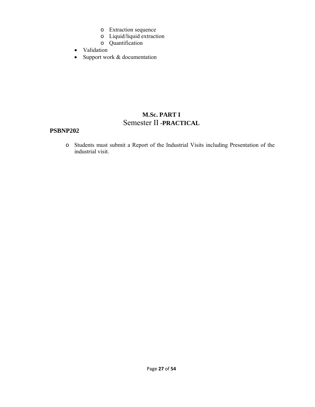- o Extraction sequence
- o Liquid/liquid extraction
- o Quantification
- Validation
- Support work & documentation

# **M.Sc. PART I**  Semester II **-PRACTICAL**

## **PSBNP202**

o Students must submit a Report of the Industrial Visits including Presentation of the industrial visit.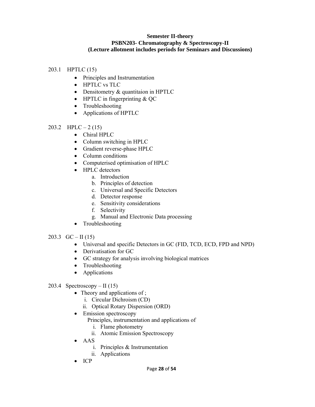## **Semester II-theory PSBN203- Chromatography & Spectroscopy-II (Lecture allotment includes periods for Seminars and Discussions)**

## 203.1 HPTLC (15)

- Principles and Instrumentation
- HPTLC vs TLC
- Densitometry & quantitaion in HPTLC
- HPTLC in fingerprinting & QC
- Troubleshooting
- Applications of HPTLC
- 203.2 HPLC 2 (15)
	- Chiral HPLC
	- Column switching in HPLC
	- Gradient reverse-phase HPLC
	- Column conditions
	- Computerised optimisation of HPLC
	- HPLC detectors
		- a. Introduction
		- b. Principles of detection
		- c. Universal and Specific Detectors
		- d. Detector response
		- e. Sensitivity considerations
		- f. Selectivity
		- g. Manual and Electronic Data processing
	- Troubleshooting
- 203.3  $GC II (15)$ 
	- Universal and specific Detectors in GC (FID, TCD, ECD, FPD and NPD)
	- Derivatisation for GC
	- GC strategy for analysis involving biological matrices
	- Troubleshooting
	- Applications

## 203.4 Spectroscopy – II  $(15)$

- Theory and applications of ;
	- i. Circular Dichroism (CD)
	- ii. Optical Rotary Dispersion (ORD)
- Emission spectroscopy
	- Principles, instrumentation and applications of
		- i. Flame photometry
		- ii. Atomic Emission Spectroscopy
- AAS
	- i. Principles & Instrumentation
	- ii. Applications
- ICP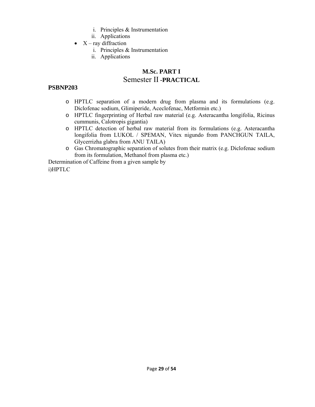- i. Principles & Instrumentation
- ii. Applications
- $X ray$  diffraction
	- i. Principles & Instrumentation
	- ii. Applications

# **M.Sc. PART I**  Semester II **-PRACTICAL**

# **PSBNP203**

- o HPTLC separation of a modern drug from plasma and its formulations (e.g. Diclofenac sodium, Glimiperide, Aceclofenac, Metformin etc.)
- o HPTLC fingerprinting of Herbal raw material (e.g. Asteracantha longifolia, Ricinus cummunis, Calotropis gigantia)
- o HPTLC detection of herbal raw material from its formulations (e.g. Asteracantha longifolia from LUKOL / SPEMAN, Vitex nigundo from PANCHGUN TAILA, Glycerrizha glabra from ANU TAILA)
- o Gas Chromatographic separation of solutes from their matrix (e.g. Diclofenac sodium from its formulation, Methanol from plasma etc.)

Determination of Caffeine from a given sample by i)HPTLC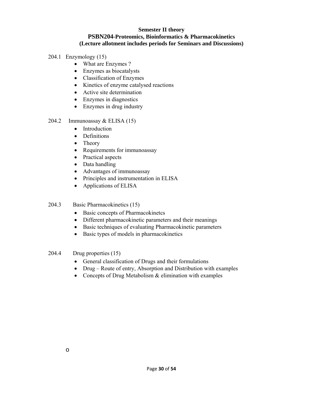## **Semester II theory PSBN204-Proteomics, Bioinformatics & Pharmacokinetics (Lecture allotment includes periods for Seminars and Discussions)**

- 204.1 Enzymology (15)
	- What are Enzymes ?
	- Enzymes as biocatalysts
	- Classification of Enzymes
	- Kinetics of enzyme catalysed reactions
	- Active site determination
	- Enzymes in diagnostics
	- Enzymes in drug industry

## 204.2 Immunoassay & ELISA (15)

- Introduction
- Definitions
- Theory
- Requirements for immunoassay
- Practical aspects
- Data handling
- Advantages of immunoassay
- Principles and instrumentation in ELISA
- Applications of ELISA

## 204.3 Basic Pharmacokinetics (15)

- Basic concepts of Pharmacokinetcs
- Different pharmacokinetic parameters and their meanings
- Basic techniques of evaluating Pharmacokinetic parameters
- Basic types of models in pharmacokinetics

## 204.4 Drug properties (15)

- General classification of Drugs and their formulations
- Drug Route of entry, Absorption and Distribution with examples
- Concepts of Drug Metabolism & elimination with examples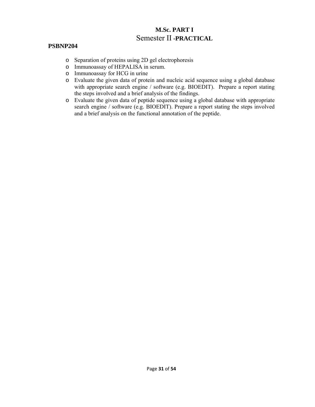# **M.Sc. PART I**  Semester II **-PRACTICAL**

- o Separation of proteins using 2D gel electrophoresis
- o Immunoassay of HEPALISA in serum.
- o Immunoassay for HCG in urine
- o Evaluate the given data of protein and nucleic acid sequence using a global database with appropriate search engine / software (e.g. BIOEDIT). Prepare a report stating the steps involved and a brief analysis of the findings.
- o Evaluate the given data of peptide sequence using a global database with appropriate search engine / software (e.g. BIOEDIT). Prepare a report stating the steps involved and a brief analysis on the functional annotation of the peptide.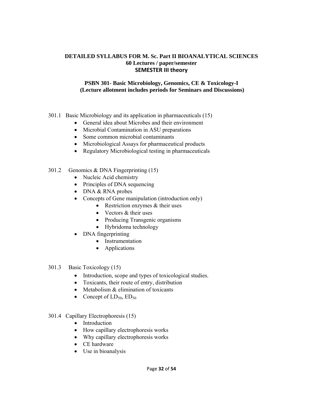## **DETAILED SYLLABUS FOR M. Sc. Part II BIOANALYTICAL SCIENCES 60 Lectures / paper/semester SEMESTER III theory**

## **PSBN 301- Basic Microbiology, Genomics, CE & Toxicology-I (Lecture allotment includes periods for Seminars and Discussions)**

- 301.1 Basic Microbiology and its application in pharmaceuticals (15)
	- General idea about Microbes and their environment
	- Microbial Contamination in ASU preparations
	- Some common microbial contaminants
	- Microbiological Assays for pharmaceutical products
	- Regulatory Microbiological testing in pharmaceuticals

## 301.2 Genomics & DNA Fingerprinting (15)

- Nucleic Acid chemistry
- Principles of DNA sequencing
- DNA & RNA probes
- Concepts of Gene manipulation (introduction only)
	- Restriction enzymes & their uses
	- Vectors & their uses
	- Producing Transgenic organisms
	- Hybridoma technology
- DNA fingerprinting
	- Instrumentation
	- Applications
- 301.3 Basic Toxicology (15)
	- Introduction, scope and types of toxicological studies.
	- Toxicants, their route of entry, distribution
	- Metabolism & elimination of toxicants
	- Concept of  $LD_{50}$ ,  $ED_{50}$
- 301.4 Capillary Electrophoresis (15)
	- Introduction
	- How capillary electrophoresis works
	- Why capillary electrophoresis works
	- CE hardware
	- Use in bioanalysis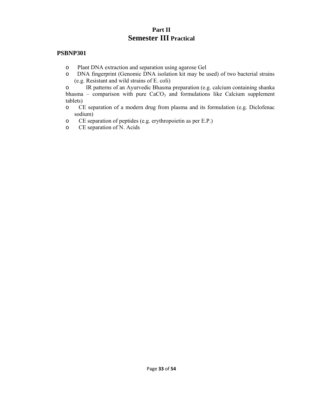# **Part II Semester III Practical**

## **PSBNP301**

- o Plant DNA extraction and separation using agarose Gel
- o DNA fingerprint (Genomic DNA isolation kit may be used) of two bacterial strains (e.g. Resistant and wild strains of E. coli)

o IR patterns of an Ayurvedic Bhasma preparation (e.g. calcium containing shanka bhasma – comparison with pure  $CaCO<sub>3</sub>$  and formulations like Calcium supplement tablets)

- o CE separation of a modern drug from plasma and its formulation (e.g. Diclofenac sodium)
- o CE separation of peptides (e.g. erythropoietin as per E.P.)
- o CE separation of N. Acids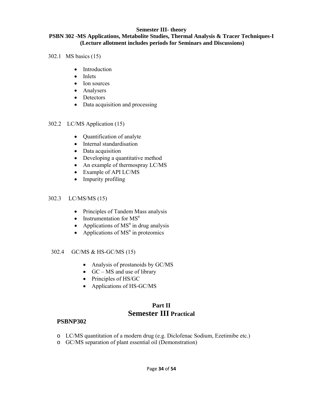## **Semester III- theory**

## **PSBN 302 -MS Applications, Metabolite Studies, Thermal Analysis & Tracer Techniques-I (Lecture allotment includes periods for Seminars and Discussions)**

- 302.1 MS basics (15)
	- Introduction
	- Inlets
	- Ion sources
	- Analysers
	- Detectors
	- Data acquisition and processing

#### 302.2 LC/MS Application (15)

- Quantification of analyte
- Internal standardisation
- Data acquisition
- Developing a quantitative method
- An example of thermospray LC/MS
- Example of API LC/MS
- Impurity profiling

## 302.3 LC/MS/MS (15)

- Principles of Tandem Mass analysis
- Instrumentation for  $MS<sup>n</sup>$
- Applications of  $MS<sup>n</sup>$  in drug analysis
- Applications of  $MS<sup>n</sup>$  in proteomics

## 302.4 GC/MS & HS-GC/MS (15)

- Analysis of prostanoids by GC/MS
- $GC MS$  and use of library
- Principles of HS/GC
- Applications of HS-GC/MS

# **Part II Semester III Practical**

- o LC/MS quantitation of a modern drug (e.g. Diclofenac Sodium, Ezetimibe etc.)
- o GC/MS separation of plant essential oil (Demonstration)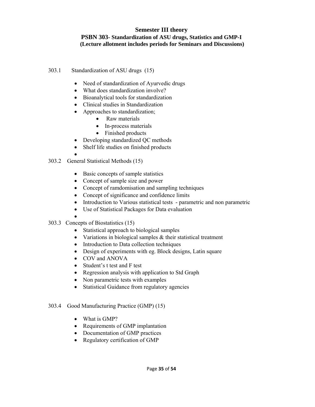## **Semester III theory PSBN 303- Standardization of ASU drugs, Statistics and GMP-I (Lecture allotment includes periods for Seminars and Discussions)**

## 303.1 Standardization of ASU drugs (15)

- Need of standardization of Ayurvedic drugs
- What does standardization involve?
- Bioanalytical tools for standardization
- Clinical studies in Standardization
- Approaches to standardization;
	- Raw materials
	- In-process materials
	- Finished products
- Developing standardized QC methods
- Shelf life studies on finished products
- 303.2 General Statistical Methods (15)
	- Basic concepts of sample statistics
	- Concept of sample size and power
	- Concept of ramdomisation and sampling techniques
	- Concept of significance and confidence limits
	- Introduction to Various statistical tests parametric and non parametric
	- Use of Statistical Packages for Data evaluation
	- •
- 303.3 Concepts of Biostatistics (15)
	- Statistical approach to biological samples
	- Variations in biological samples & their statistical treatment
	- Introduction to Data collection techniques
	- Design of experiments with eg. Block designs, Latin square
	- COV and ANOVA
	- Student's t test and F test
	- Regression analysis with application to Std Graph
	- Non parametric tests with examples
	- Statistical Guidance from regulatory agencies

## 303.4 Good Manufacturing Practice (GMP) (15)

- What is GMP?
- Requirements of GMP implantation
- Documentation of GMP practices
- Regulatory certification of GMP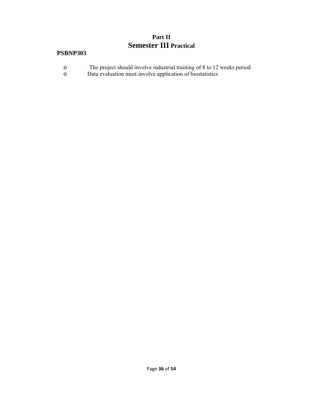# **Part II Semester III Practical**

- o The project should involve industrial training of 8 to 12 weeks period
- o Data evaluation must involve application of biostatistics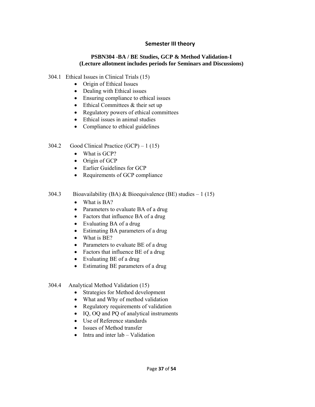# **Semester III theory**

## **PSBN304 -BA / BE Studies, GCP & Method Validation-I (Lecture allotment includes periods for Seminars and Discussions)**

- 304.1 Ethical Issues in Clinical Trials (15)
	- Origin of Ethical Issues
	- Dealing with Ethical issues
	- Ensuring compliance to ethical issues
	- Ethical Committees & their set up
	- Regulatory powers of ethical committees
	- Ethical issues in animal studies
	- Compliance to ethical guidelines
- 304.2 Good Clinical Practice (GCP) 1 (15)
	- What is GCP?
	- Origin of GCP
	- Earlier Guidelines for GCP
	- Requirements of GCP compliance
- 304.3 Bioavailability (BA) & Bioequivalence (BE) studies  $-1$  (15)
	- What is BA?
	- Parameters to evaluate BA of a drug
	- Factors that influence BA of a drug
	- Evaluating BA of a drug
	- Estimating BA parameters of a drug
	- What is BE?
	- Parameters to evaluate BE of a drug
	- Factors that influence BE of a drug
	- Evaluating BE of a drug
	- Estimating BE parameters of a drug
- 304.4 Analytical Method Validation (15)
	- Strategies for Method development
	- What and Why of method validation
	- Regulatory requirements of validation
	- IQ, OQ and PQ of analytical instruments
	- Use of Reference standards
	- Issues of Method transfer
	- Intra and inter lab Validation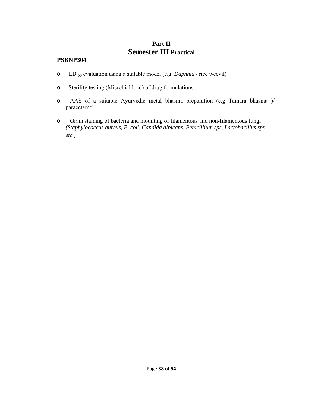# **Part II Semester III Practical**

- o LD 50 evaluation using a suitable model (e.g. *Daphnia* / rice weevil)
- o Sterility testing (Microbial load) of drug formulations
- o AAS of a suitable Ayurvedic metal bhasma preparation (e.g Tamara bhasma )/ paracetamol
- o Gram staining of bacteria and mounting of filamentous and non-filamentous fungi *(Staphylococcus aureus, E. coli, Candida albicans, Penicillium sps, Lactobacillus sps etc.)*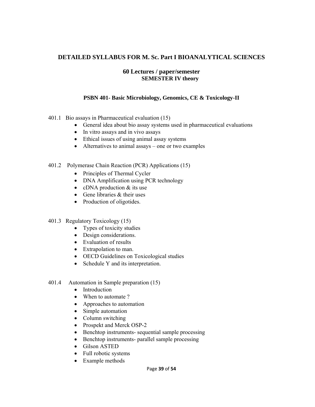# **DETAILED SYLLABUS FOR M. Sc. Part I BIOANALYTICAL SCIENCES**

## **60 Lectures / paper/semester SEMESTER IV theory**

## **PSBN 401- Basic Microbiology, Genomics, CE & Toxicology-II**

- 401.1 Bio assays in Pharmaceutical evaluation (15)
	- General idea about bio assay systems used in pharmaceutical evaluations
	- In vitro assays and in vivo assays
	- Ethical issues of using animal assay systems
	- Alternatives to animal assays one or two examples
- 401.2 Polymerase Chain Reaction (PCR) Applications (15)
	- Principles of Thermal Cycler
	- DNA Amplification using PCR technology
	- cDNA production & its use
	- Gene libraries & their uses
	- Production of oligotides.
- 401.3 Regulatory Toxicology (15)
	- Types of toxicity studies
	- Design considerations.
	- Evaluation of results
	- Extrapolation to man.
	- OECD Guidelines on Toxicological studies
	- Schedule Y and its interpretation.
- 401.4 Automation in Sample preparation (15)
	- Introduction
	- When to automate ?
	- Approaches to automation
	- Simple automation
	- Column switching
	- Prospekt and Merck OSP-2
	- Benchtop instruments- sequential sample processing
	- Benchtop instruments- parallel sample processing
	- Gilson ASTED
	- Full robotic systems
	- Example methods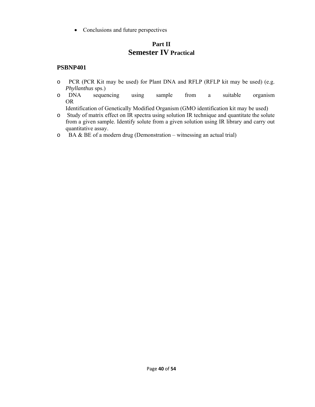• Conclusions and future perspectives

# **Part II Semester IV Practical**

# **PSBNP401**

- o PCR (PCR Kit may be used) for Plant DNA and RFLP (RFLP kit may be used) (e.g. *Phyllanthus* sps.)
- o DNA sequencing using sample from a suitable organism OR

Identification of Genetically Modified Organism (GMO identification kit may be used)

- o Study of matrix effect on IR spectra using solution IR technique and quantitate the solute from a given sample. Identify solute from a given solution using IR library and carry out quantitative assay.
- $\circ$  BA & BE of a modern drug (Demonstration witnessing an actual trial)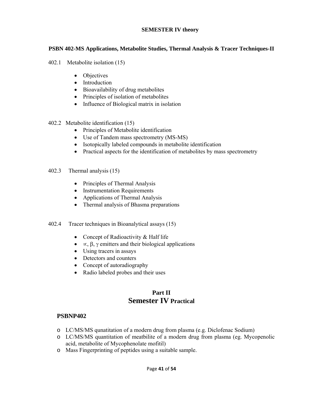## **SEMESTER IV theory**

## **PSBN 402-MS Applications, Metabolite Studies, Thermal Analysis & Tracer Techniques-II**

- 402.1 Metabolite isolation (15)
	- Objectives
	- Introduction
	- Bioavailability of drug metabolites
	- Principles of isolation of metabolites
	- Influence of Biological matrix in isolation
- 402.2 Metabolite identification (15)
	- Principles of Metabolite identification
	- Use of Tandem mass spectrometry (MS-MS)
	- Isotopically labeled compounds in metabolite identification
	- Practical aspects for the identification of metabolites by mass spectrometry

## 402.3 Thermal analysis (15)

- Principles of Thermal Analysis
- Instrumentation Requirements
- Applications of Thermal Analysis
- Thermal analysis of Bhasma preparations
- 402.4 Tracer techniques in Bioanalytical assays (15)
	- Concept of Radioactivity & Half life
	- $\alpha$ , β, γ emitters and their biological applications
	- Using tracers in assays
	- Detectors and counters
	- Concept of autoradiography
	- Radio labeled probes and their uses

# **Part II Semester IV Practical**

- o LC/MS/MS qunatitation of a modern drug from plasma (e.g. Diclofenac Sodium)
- o LC/MS/MS quantitation of meatbilite of a modern drug from plasma (eg. Mycopenolic acid, metabolite of Mycophenolate mofitil)
- o Mass Fingerprinting of peptides using a suitable sample.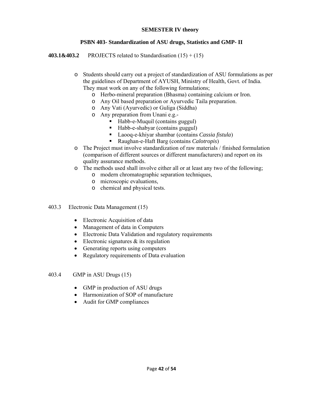## **SEMESTER IV theory**

## **PSBN 403- Standardization of ASU drugs, Statistics and GMP- II**

**403.1&403.2** PROJECTS related to Standardisation (15) + (15)

- o Students should carry out a project of standardization of ASU formulations as per the guidelines of Department of AYUSH, Ministry of Health, Govt. of India. They must work on any of the following formulations;
	- o Herbo-mineral preparation (Bhasma) containing calcium or Iron.
	- o Any Oil based preparation or Ayurvedic Taila preparation.
	- o Any Vati (Ayurvedic) or Guliga (Siddha)
	- o Any preparation from Unani e.g.-
		- Habb-e-Muquil (contains guggul)
		- Habb-e-shabyar (contains guggul)
		- Laooq-e-khiyar shambar (contains *Cassia fistula*)
		- Raughan-e-Haft Barg (contains *Calotropis*)
- o The Project must involve standardization of raw materials / finished formulation (comparison of different sources or different manufacturers) and report on its quality assurance methods.
- o The methods used shall involve either all or at least any two of the following;
	- o modern chromatographic separation techniques,
		- o microscopic evaluations,
		- o chemical and physical tests.
- 403.3 Electronic Data Management (15)
	- Electronic Acquisition of data
	- Management of data in Computers
	- Electronic Data Validation and regulatory requirements
	- Electronic signatures  $\&$  its regulation
	- Generating reports using computers
	- Regulatory requirements of Data evaluation
- 403.4 GMP in ASU Drugs (15)
	- GMP in production of ASU drugs
	- Harmonization of SOP of manufacture
	- Audit for GMP compliances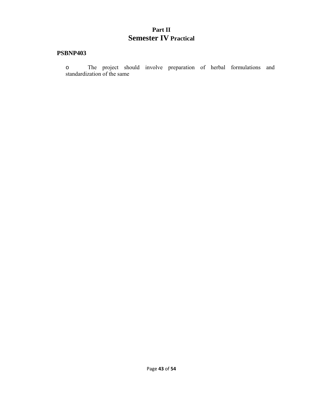# **Part II Semester IV Practical**

# **PSBNP403**

o The project should involve preparation of herbal formulations and standardization of the same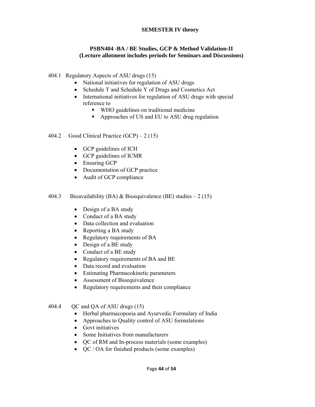## **SEMESTER IV theory**

## **PSBN404 -BA / BE Studies, GCP & Method Validation-II (Lecture allotment includes periods for Seminars and Discussions)**

- 404.1 Regulatory Aspects of ASU drugs (15)
	- National initiatives for regulation of ASU drugs
	- Schedule T and Schedule Y of Drugs and Cosmetics Act
	- International initiatives for regulation of ASU drugs with special reference to
		- WHO guidelines on traditional medicine
		- Approaches of US and EU to ASU drug regulation
- 404.2 Good Clinical Practice (GCP) 2 (15)
	- GCP guidelines of ICH
	- GCP guidelines of ICMR
	- Ensuring GCP
	- Documentation of GCP practice
	- Audit of GCP compliance
- 404.3 Bioavailability (BA) & Bioequivalence (BE) studies  $-2(15)$ 
	- Design of a BA study
	- Conduct of a BA study
	- Data collection and evaluation
	- Reporting a BA study
	- Regulatory requirements of BA
	- Design of a BE study
	- Conduct of a BE study
	- Regulatory requirements of BA and BE
	- Data record and evaluation
	- Estimating Pharmacokinetic parameters
	- Assessment of Bioequivalence
	- Regulatory requirements and their compliance
- 404.4 QC and QA of ASU drugs (15)
	- Herbal pharmacopoeia and Ayurvedic Formulary of India
	- Approaches to Quality control of ASU formulations
	- Govt initiatives
	- Some Initiatives from manufacturers
	- QC of RM and In-process materials (some examples)
	- QC / OA for finished products (some examples)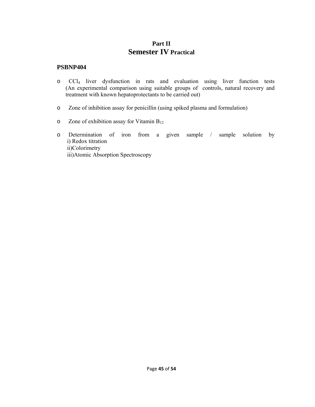# **Part II Semester IV Practical**

- o CCl4 liver dysfunction in rats and evaluation using liver function tests (An experimental comparison using suitable groups of controls, natural recovery and treatment with known hepatoprotectants to be carried out)
- o Zone of inhibition assay for penicillin (using spiked plasma and formulation)
- $\circ$  Zone of exhibition assay for Vitamin B<sub>12</sub>
- o Determination of iron from a given sample / sample solution by i) Redox titration ii)Colorimetry iii)Atomic Absorption Spectroscopy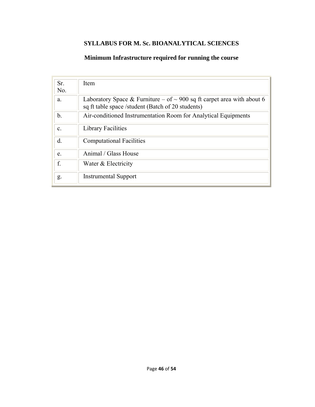# **SYLLABUS FOR M. Sc. BIOANALYTICAL SCIENCES**

# **Minimum Infrastructure required for running the course**

| Sr.<br>No.     | Item                                                                                                                             |
|----------------|----------------------------------------------------------------------------------------------------------------------------------|
| a.             | Laboratory Space & Furniture – of $\sim$ 900 sq ft carpet area with about 6<br>sq ft table space /student (Batch of 20 students) |
| $\mathbf b$ .  | Air-conditioned Instrumentation Room for Analytical Equipments                                                                   |
| $\mathbf{c}$ . | <b>Library Facilities</b>                                                                                                        |
| d.             | <b>Computational Facilities</b>                                                                                                  |
| e.             | Animal / Glass House                                                                                                             |
| f.             | Water & Electricity                                                                                                              |
| g.             | <b>Instrumental Support</b>                                                                                                      |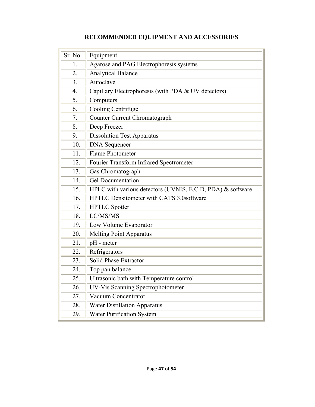| Sr. No | Equipment                                                  |
|--------|------------------------------------------------------------|
| 1.     | Agarose and PAG Electrophoresis systems                    |
| 2.     | <b>Analytical Balance</b>                                  |
| 3.     | Autoclave                                                  |
| 4.     | Capillary Electrophoresis (with PDA & UV detectors)        |
| 5.     | Computers                                                  |
| 6.     | Cooling Centrifuge                                         |
| 7.     | Counter Current Chromatograph                              |
| 8.     | Deep Freezer                                               |
| 9.     | <b>Dissolution Test Apparatus</b>                          |
| 10.    | <b>DNA</b> Sequencer                                       |
| 11.    | <b>Flame Photometer</b>                                    |
| 12.    | Fourier Transform Infrared Spectrometer                    |
| 13.    | Gas Chromatograph                                          |
| 14.    | <b>Gel Documentation</b>                                   |
| 15.    | HPLC with various detectors (UVNIS, E.C.D, PDA) & software |
| 16.    | <b>HPTLC Densitometer with CATS 3.0software</b>            |
| 17.    | <b>HPTLC</b> Spotter                                       |
| 18.    | LC/MS/MS                                                   |
| 19.    | Low Volume Evaporator                                      |
| 20.    | <b>Melting Point Apparatus</b>                             |
| 21.    | pH - meter                                                 |
| 22.    | Refrigerators                                              |
| 23.    | Solid Phase Extractor                                      |
| 24.    | Top pan balance                                            |
| 25.    | Ultrasonic bath with Temperature control                   |
| 26.    | <b>UV-Vis Scanning Spectrophotometer</b>                   |
| 27.    | Vacuum Concentrator                                        |
| 28.    | <b>Water Distillation Apparatus</b>                        |
| 29.    | <b>Water Purification System</b>                           |

# **RECOMMENDED EQUIPMENT AND ACCESSORIES**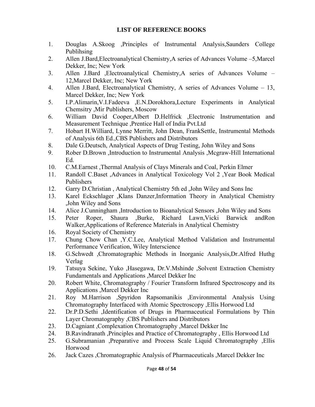# **LIST OF REFERENCE BOOKS**

- 1. Douglas A.Skoog ,Principles of Instrumental Analysis,Saunders College Publihsing
- 2. Allen J.Bard,Electroanalytical Chemistry,A series of Advances Volume –5,Marcel Dekker, Inc; New York
- 3. Allen J.Bard ,Electroanalytical Chemistry,A series of Advances Volume 12,Marcel Dekker, Inc; New York
- 4. Allen J.Bard, Electroanalytical Chemistry, A series of Advances Volume 13, Marcel Dekker, Inc; New York
- 5. I.P.Alimarin,V.I.Fadeeva ,E.N.Dorokhora,Lecture Experiments in Analytical Chemsitry ,Mir Publishers, Moscow
- 6. William David Cooper,Albert D.Helfrick ,Electronic Instrumentation and Measurement Technique ,Prentice Hall of India Pvt.Ltd
- 7. Hobart H.Williard, Lynne Merritt, John Dean, FrankSettle, Instrumental Methods of Analysis 6th Ed.,CBS Publishers and Distributors
- 8. Dale G.Deutsch, Analytical Aspects of Drug Testing, John Wiley and Sons
- 9. Rober D.Brown ,Introduction to Instrumental Analysis ,Mcgraw-Hill International Ed.
- 10. C.M.Earnest ,Thermal Analysis of Clays Minerals and Coal, Perkin Elmer
- 11. Randoll C.Baset ,Advances in Analytical Toxicology Vol 2 ,Year Book Medical Publishers
- 12. Garry D.Christian , Analytical Chemistry 5th ed ,John Wiley and Sons Inc
- 13. Karel Eckschlager ,Klans Danzer,Information Theory in Analytical Chemistry ,John Wiley and Sons
- 14. Alice J.Cunningham ,Introduction to Bioanalytical Sensors ,John Wiley and Sons
- 15. Peter Roper, Shaura ,Burke, Richard Lawn,Vicki Barwick andRon Walker,Applications of Reference Materials in Analytical Chemistry
- 16. Royal Society of Chemistry
- 17. Chung Chow Chan ,Y.C.Lee, Analytical Method Validation and Instrumental Performance Verification, Wiley Interscience
- 18. G.Schwedt ,Chromatographic Methods in Inorganic Analysis,Dr.Alfred Huthg Verlag
- 19. Tatsuya Sekine, Yuko ,Hasegawa, Dr.V.Mshinde ,Solvent Extraction Chemistry Fundamentals and Applications ,Marcel Dekker Inc
- 20. Robert White, Chromatography / Fourier Transform Infrared Spectroscopy and its Applications ,Marcel Dekker Inc
- 21. Roy M.Harrison ,Spyridon Rapsomanikis ,Environmental Analysis Using Chromatography Interfaced with Atomic Spectroscopy ,Ellis Horwood Ltd
- 22. Dr.P.D.Sethi ,Identification of Drugs in Pharmaceutical Formulations by Thin Layer Chromatography ,CBS Publishers and Distributors
- 23. D.Cagniant ,Complexation Chromatography ,Marcel Dekker Inc
- 24. B.Ravindranath ,Principles and Practice of Chromatography , Ellis Horwood Ltd
- 25. G.Subramanian ,Preparative and Process Scale Liquid Chromatography ,Ellis Horwood
- 26. Jack Cazes ,Chromatographic Analysis of Pharmaceuticals ,Marcel Dekker Inc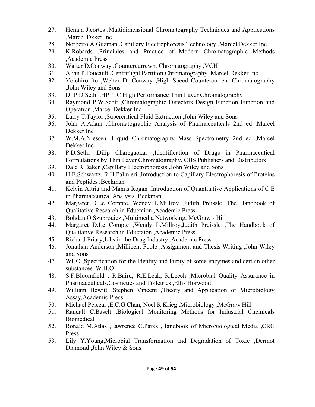- 27. Heman J.cortes ,Multidimensional Chromatography Techniques and Applications ,Marcel Dkker Inc
- 28. Norberto A.Guzman ,Capillary Electrophoresis Technology ,Marcel Dekker Inc
- 29. K.Robards ,Principles and Practice of Modern Chromatographic Methods ,Academic Press
- 30. Walter D.Conway ,Countercurrewnt Chromatography ,VCH
- 31. Alian P.Foucault ,Centrifugal Partition Chromatography ,Marcel Dekker Inc
- 32. Yoichiro Ito ,Welter D. Conway ,High Speed Countercurrent Chromatography ,John Wiley and Sons
- 33. Dr.P.D.Sethi ,HPTLC High Performance Thin Layer Chromatography
- 34. Raymond P.W.Scott ,Chromatographic Detectors Design Function Function and Operation ,Marcel Dekker Inc
- 35. Larry T.Taylor ,Supercritical Fluid Extraction ,John Wiley and Sons
- 36. John A.Adam ,Chromatographic Analysis of Pharmaceuticals 2nd ed ,Marcel Dekker Inc
- 37. W.M.A.Niessen ,Liquid Chromatography Mass Spectrometry 2nd ed ,Marcel Dekker Inc
- 38. P.D.Sethi ,Dilip Charegaokar ,Identification of Drugs in Pharmaceutical Formulations by Thin Layer Chromatography, CBS Publishers and Distributors
- 39. Dale R Baker ,Capillary Electrophoresis ,John Wiley and Sons
- 40. H.E.Schwartz, R.H.Palmieri ,Introduction to Capillary Electrophoresis of Proteins and Peptides ,Beckman
- 41. Kelvin Altria and Manus Rogan ,Introduction of Quantitative Applications of C.E in Pharmaceutical Analysis ,Beckman
- 42. Margaret D.Le Compte, Wendy L.Millroy ,Judith Preissle ,The Handbook of Qualitative Research in Eductaion ,Academic Press
- 43. Bohdan O.Szuprouiez ,Multimedia Networking, McGraw Hill
- 44. Margaret D.Le Compte ,Wendy L.Millroy,Judith Preissle ,The Handbook of Qualitative Research in Eductaion ,Academic Press
- 45. Richard Friary,Jobs in the Drug Industry ,Academic Press
- 46. Jonathan Anderson ,Millicent Poole ,Assignment and Thesis Writing ,John Wiley and Sons
- 47. WHO ,Specification for the Identity and Purity of some enzymes and certain other substances ,W.H.O
- 48. S.F.Bloomfield , R.Baird, R.E.Leak, R.Leech ,Microbial Quality Assurance in Pharmaceuticals,Cosmetics and Toiletries ,Ellis Horwood
- 49. William Hewitt ,Stephen Vincent ,Theory and Application of Microbiology Assay,Academic Press
- 50. Michael Pelczar ,E.C.G Chan, Noel R.Krieg ,Microbiology ,McGraw Hill
- 51. Randall C.Baselt ,Biological Monitoring Methods for Industrial Chemicals Biomedical
- 52. Ronald M.Atlas ,Lawrence C.Parks ,Handbook of Microbiological Media ,CRC Press
- 53. Lily Y.Young,Microbial Transformation and Degradation of Toxic ,Dermot Diamond ,John Wiley & Sons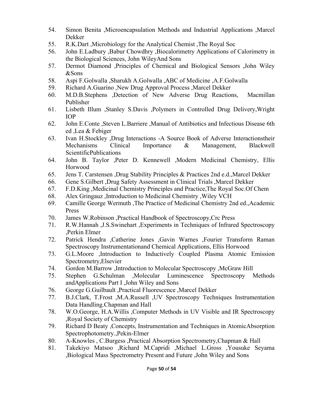- 54. Simon Benita ,Microencapsulation Methods and Industrial Applications ,Marcel Dekker
- 55. R.K.Dart ,Microbiology for the Analytical Chemist ,The Royal Soc
- 56. John E.Ladbury ,Babur Chowdhry ,Biocalorimetry Applications of Calorimetry in the Biological Sciences, John WileyAnd Sons
- 57. Dermot Diamond ,Principles of Chemical and Biological Sensors ,John Wiley &Sons
- 58. Aspi F.Golwalla ,Sharukh A.Golwalla ,ABC of Medicine ,A.F.Golwalla
- 59. Richard A.Guarino ,New Drug Approval Process ,Marcel Dekker
- 60. M.D.B.Stephens ,Detection of New Adverse Drug Reactions, Macmillan Publisher
- 61. Lisbeth Illum ,Stanley S.Davis ,Polymers in Controlled Drug Delivery,Wright IOP
- 62. John E.Conte ,Steven L.Barriere ,Manual of Antibiotics and Infectious Disease 6th ed ,Lea & Febiger
- 63. Ivan H.Stockley ,Drug Interactions -A Source Book of Adverse Interactionstheir Mechanisms Clinical Importance & Management, Blackwell ScientificPublications
- 64. John B. Taylor ,Peter D. Kennewell ,Modern Medicinal Chemistry, Ellis Horwood
- 65. Jens T. Carstensen ,Drug Stability Principles & Practices 2nd e.d.,Marcel Dekker
- 66. Gene S.Gilbert ,Drug Safety Assessment in Clinical Trials ,Marcel Dekker
- 67. F.D.King ,Medicinal Chemistry Principles and Practice,The Royal Soc.Of Chem
- 68. Alex Gringauz ,Introduction to Medicinal Chemistry ,Wiley VCH
- 69. Camille George Wermuth ,The Practice of Medicinal Chemistry 2nd ed.,Academic Press
- 70. James W.Robinson ,Practical Handbook of Spectroscopy,Crc Press
- 71. R.W.Hannah ,J.S.Swinehart ,Experiments in Techniques of Infrared Spectroscopy ,Perkin Elmer
- 72. Patrick Hendra ,Catherine Jones ,Gavin Warnes ,Fourier Transform Raman Spectroscopy Instrumentationand Chemical Applications, Ellis Horwood
- 73. G.L.Moore ,Introduction to Inductively Coupled Plasma Atomic Emission Spectrometry,Elsevier
- 74. Gordon M.Barrow ,Introduction to Molecular Spectroscopy ,McGraw Hill
- 75. Stephen G.Schulman ,Molecular Luminescence Spectroscopy Methods andApplications Part I ,John Wiley and Sons
- 76. George G.Guilbault ,Practical Fluorescence ,Marcel Dekker
- 77. B.J.Clark, T.Frost ,M.A.Russell ,UV Spectroscopy Techniques Instrumentation Data Handling.Chapman and Hall
- 78. W.O.George, H.A.Willis ,Computer Methods in UV Visible and IR Spectroscopy ,Royal Society of Chemistry
- 79. Richard D Beaty ,Concepts, Instrumentation and Techniques in AtomicAbsorption Spectrophotometry.,Pekin-Elmer
- 80. A-Knowles , C.Burgess ,Practical Absorption Spectrometry,Chapman & Hall
- 81. Takekiyo Matsoo ,Richard M.Capridi ,Michael L.Gross ,Yousuke Seyama ,Biological Mass Spectrometry Present and Future ,John Wiley and Sons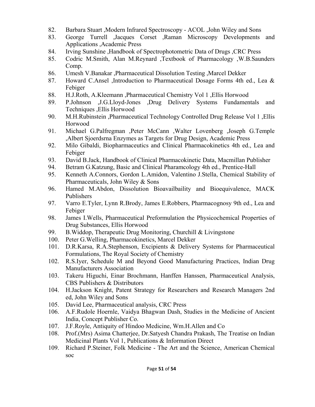- 82. Barbara Stuart ,Modern Infrared Spectroscopy ACOL ,John Wiley and Sons
- 83. George Turrell ,Jacques Corset ,Raman Microscopy Developments and Applications ,Academic Press
- 84. Irving Sunshine ,Handbook of Spectrophotometric Data of Drugs ,CRC Press
- 85. Codric M.Smith, Alan M.Reynard ,Textbook of Pharmacology ,W.B.Saunders Comp.
- 86. Umesh V.Banakar ,Pharmaceutical Dissolution Testing ,Marcel Dekker
- 87. Howard C.Ansel ,Introduction to Pharmaceutical Dosage Forms 4th ed., Lea & Febiger
- 88. H.J.Roth, A.Kleemann ,Pharmaceutical Chemistry Vol 1 ,Ellis Horwood
- 89. P.Johnson ,J.G.Lloyd-Jones ,Drug Delivery Systems Fundamentals and Techniques ,Ellis Horwood
- 90. M.H.Rubinstein ,Pharmaceutical Technology Controlled Drug Release Vol 1 ,Ellis Horwood
- 91. Michael G.Palfregman ,Peter McCann ,Walter Lovenberg ,Joseph G.Temple ,Albert Sjoerdsrna Enzymes as Targets for Drug Design, Academic Press
- 92. Milo Gibaldi, Biopharmaceutics and Clinical Pharmacokinetics 4th ed., Lea and Febiger
- 93. David B.Jack, Handbook of Clinical Pharmacokinetic Data, Macmillan Publisher
- 94. Betram G.Katzung, Basic and Clinical Pharamcology 4th ed., Prentice-Hall
- 95. Kenneth A.Connors, Gordon L.Amidon, Valentino J.Stella, Chemical Stability of Pharmaceuticals, John Wiley & Sons
- 96. Hamed M.Abdon, Dissolution Bioavailbaility and Bioequivalence, MACK Publishers
- 97. Varro E.Tyler, Lynn R.Brody, James E.Robbers, Pharmacognosy 9th ed., Lea and Febiger
- 98. James I.Wells, Pharmaceutical Preformulation the Physicochemical Properties of Drug Substances, Ellis Horwood
- 99. B.Widdop, Therapeutic Drug Monitoring, Churchill & Livingstone
- 100. Peter G.Welling, Pharmacokinetics, Marcel Dekker
- 101. D.R.Karsa, R.A.Stephenson, Excipients & Delivery Systems for Pharmaceutical Formulations, The Royal Society of Chemistry
- 102. R.S.Iyer, Schedule M and Beyond Good Manufacturing Practices, Indian Drug Manufacturers Association
- 103. Takeru Higuchi, Einar Brochmann, Hanffen Hanssen, Pharmaceutical Analysis, CBS Publishers & Distributors
- 104. H.Jackson Knight, Patent Strategy for Researchers and Research Managers 2nd ed, John Wiley and Sons
- 105. David Lee, Pharmaceutical analysis, CRC Press
- 106. A.F.Rudole Hoernle, Vaidya Bhagwan Dash, Studies in the Medicine of Ancient India, Concept Publisher Co.
- 107. J.F.Royle, Antiquity of Hindoo Medicine, Wm.H.Allen and Co
- 108. Prof.(Mrs) Asima Chatterjee, Dr.Satyesh Chandra Prakash, The Treatise on Indian Medicinal Plants Vol 1, Publications & Information Direct
- 109. Richard P.Steiner, Folk Medicine The Art and the Science, American Chemical soc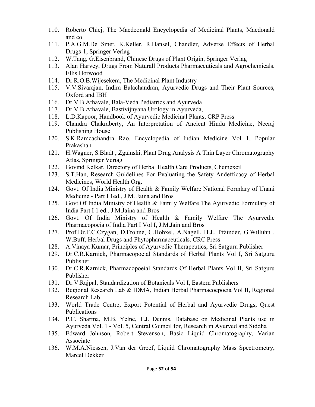- 110. Roberto Chiej, The Macdeonald Encyclopedia of Medicinal Plants, Macdonald and co
- 111. P.A.G.M.De Smet, K.Keller, R.Hansel, Chandler, Adverse Effects of Herbal Drugs-1, Springer Verlag
- 112. W.Tang, G.Eisenbrand, Chinese Drugs of Plant Origin, Springer Verlag
- 113. Alan Harvey, Drugs From Naturall Products Pharmaceuticals and Agrochemicals, Ellis Horwood
- 114. Dr.R.O.B.Wijesekera, The Medicinal Plant Industry
- 115. V.V.Sivarajan, Indira Balachandran, Ayurvedic Drugs and Their Plant Sources, Oxford and IBH
- 116. Dr.V.B.Athavale, Bala-Veda Pediatrics and Ayurveda
- 117. Dr.V.B.Athavale, Bastivijnyana Urology in Ayurveda,
- 118. L.D.Kapoor, Handbook of Ayurvedic Medicinal Plants, CRP Press
- 119. Chandra Chakraberty, An Interpretation of Ancient Hindu Medicine, Neeraj Publishing House
- 120. S.K.Ramcachandra Rao, Encyclopedia of Indian Medicine Vol 1, Popular Prakashan
- 121. H.Wagner, S.Bladt , Zgainski, Plant Drug Analysis A Thin Layer Chromatography Atlas, Springer Veriag
- 122. Govind Kelkar, Directory of Herbal Health Care Products, Chemexcil
- 123. S.T.Han, Research Guidelines For Evaluating the Safety Andefficacy of Herbal Medicines, World Health Org.
- 124. Govt. Of India Ministry of Health & Family Welfare National Formlary of Unani Medicine - Part I 1ed., J.M. Jaina and Bros
- 125. Govt.Of India Ministry of Health & Family Welfare The Ayurvedic Formulary of India Part I 1 ed., J.M.Jaina and Bros
- 126. Govt. Of India Ministry of Health & Family Welfare The Ayurvedic Pharmacopoeia of India Part I Vol I, J.M.Jain and Bros
- 127. Prof.Dr.F.C.Czygan, D.Frohne, C.Hohxel, A.Nagell, H.J., Pfainder, G.Willuhn , W.Buff, Herbal Drugs and Phytopharmaceuticals, CRC Press
- 128. A.Vinaya Kumar, Principles of Ayurvedic Therapeutics, Sri Satguru Publisher
- 129. Dr.C.R.Karnick, Pharmacopoeial Standards of Herbal Plants Vol I, Sri Satguru Publisher
- 130. Dr.C.R.Karnick, Pharmacopoeial Standards Of Herbal Plants Vol II, Sri Satguru Publisher
- 131. Dr.V.Rajpal, Standardization of Botanicals Vol I, Eastern Publishers
- 132. Regional Research Lab & IDMA, Indian Herbal Pharmacoepoeia Vol II, Regional Research Lab
- 133. World Trade Centre, Export Potential of Herbal and Ayurvedic Drugs, Quest Publications
- 134. P.C. Sharma, M.B. Yelne, T.J. Dennis, Database on Medicinal Plants use in Ayurveda Vol. 1 - Vol. 5, Central Council for, Research in Ayurved and Siddha
- 135. Edward Johnson, Robert Stevenson, Basic Liquid Chromatography, Varian Associate
- 136. W.M.A.Niessen, J.Van der Greef, Liquid Chromatography Mass Spectrometry, Marcel Dekker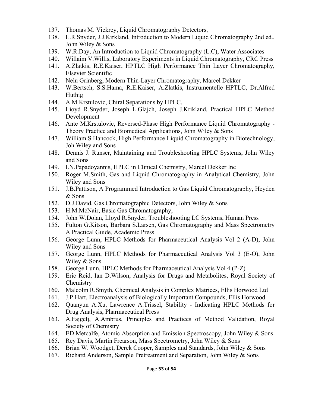- 137. Thomas M. Vickrey, Liquid Chromatography Detectors,
- 138. L.R.Snyder, J.J.Kirkland, Introduction to Modern Liquid Chromatography 2nd ed., John Wiley & Sons
- 139. W.R.Day, An Introduction to Liquid Chromatography (L.C), Water Associates
- 140. Willaim V.Willis, Laboratory Experiments in Liquid Chromatography, CRC Press
- 141. A.Zlatkis, R.E.Kaiser, HPTLC High Performance Thin Layer Chromatography, Elsevier Scientific
- 142. Nelu Grinberg, Modern Thin-Layer Chromatography, Marcel Dekker
- 143. W.Bertsch, S.S.Hama, R.E.Kaiser, A.Zlatkis, Instrumentelle HPTLC, Dr.Alfred Huthig
- 144. A.M.Krstulovic, Chiral Separations by HPLC,
- 145. Lioyd R.Snyder, Joseph L.Glajch, Joseph J.Krikland, Practical HPLC Method Development
- 146. Ante M.Krstulovic, Reversed-Phase High Performance Liquid Chromatography Theory Practice and Biomedical Applications, John Wiley & Sons
- 147. William S.Hancock, High Performance Liquid Chromatography in Biotechnology, Joh Wiley and Sons
- 148. Dennis J. Runser, Maintaining and Troubleshooting HPLC Systems, John Wiley and Sons
- 149. I.N.Papadoyannis, HPLC in Clinical Chemistry, Marcel Dekker Inc
- 150. Roger M.Smith, Gas and Liquid Chromatography in Analytical Chemistry, John Wiley and Sons
- 151. J.B.Pattison, A Programmed Introduction to Gas Liquid Chromatography, Heyden & Sons
- 152. D.J.David, Gas Chromatographic Detectors, John Wiley & Sons
- 153. H.M.McNair, Basic Gas Chromatography,
- 154. John W.Dolan, Lloyd R.Snyder, Troubleshooting LC Systems, Human Press
- 155. Fulton G.Kitson, Barbara S.Larsen, Gas Chromatography and Mass Spectrometry A Practical Guide, Academic Press
- 156. George Lunn, HPLC Methods for Pharmaceutical Analysis Vol 2 (A-D), John Wiley and Sons
- 157. George Lunn, HPLC Methods for Pharmaceutical Analysis Vol 3 (E-O), John Wiley & Sons
- 158. George Lunn, HPLC Methods for Pharmaceutical Analysis Vol 4 (P-Z)
- 159. Eric Reid, Ian D.Wilson, Analysis for Drugs and Metabolites, Royal Society of **Chemistry**
- 160. Malcolm R.Smyth, Chemical Analysis in Complex Matrices, Ellis Horwood Ltd
- 161. J.P.Hart, Electroanalysis of Biologically Important Compounds, Ellis Horwood
- 162. Quanyun A.Xu, Lawrence A.Trissel, Stability Indicating HPLC Methods for Drug Analysis, Pharmaceutical Press
- 163. A.Fajgelj, A.Ambrus, Principles and Practices of Method Validation, Royal Society of Chemistry
- 164. ED Metcalfe, Atomic Absorption and Emission Spectroscopy, John Wiley & Sons
- 165. Rey Davis, Martin Frearson, Mass Spectrometry, John Wiley & Sons
- 166. Brian W. Woodget, Derek Cooper, Samples and Standards, John Wiley & Sons
- 167. Richard Anderson, Sample Pretreatment and Separation, John Wiley & Sons